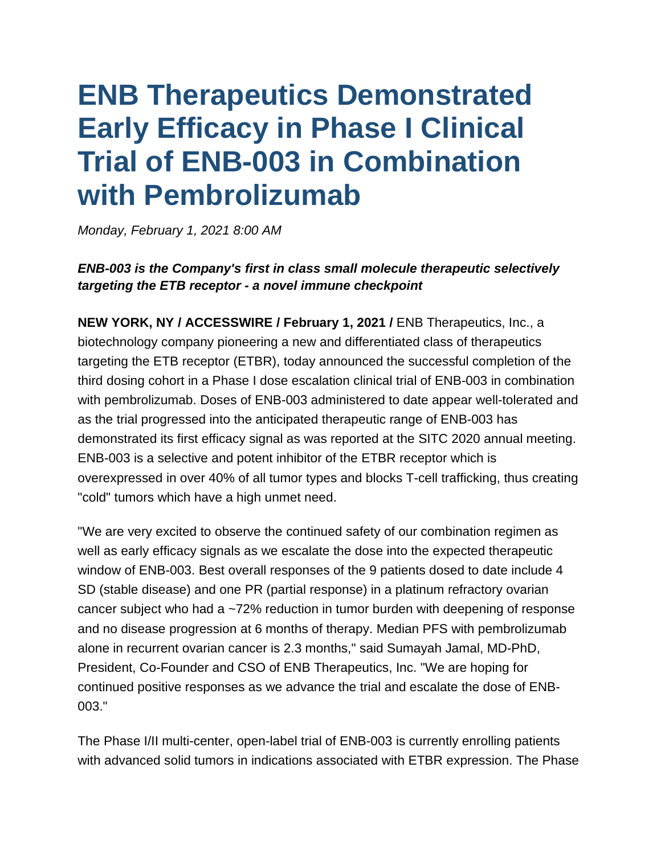# **ENB Therapeutics Demonstrated Early Efficacy in Phase I Clinical Trial of ENB-003 in Combination with Pembrolizumab**

*Monday, February 1, 2021 8:00 AM*

# *ENB-003 is the Company's first in class small molecule therapeutic selectively targeting the ETB receptor - a novel immune checkpoint*

**NEW YORK, NY / ACCESSWIRE / February 1, 2021 /** ENB Therapeutics, Inc., a biotechnology company pioneering a new and differentiated class of therapeutics targeting the ETB receptor (ETBR), today announced the successful completion of the third dosing cohort in a Phase I dose escalation clinical trial of ENB-003 in combination with pembrolizumab. Doses of ENB-003 administered to date appear well-tolerated and as the trial progressed into the anticipated therapeutic range of ENB-003 has demonstrated its first efficacy signal as was reported at the SITC 2020 annual meeting. ENB-003 is a selective and potent inhibitor of the ETBR receptor which is overexpressed in over 40% of all tumor types and blocks T-cell trafficking, thus creating "cold" tumors which have a high unmet need.

"We are very excited to observe the continued safety of our combination regimen as well as early efficacy signals as we escalate the dose into the expected therapeutic window of ENB-003. Best overall responses of the 9 patients dosed to date include 4 SD (stable disease) and one PR (partial response) in a platinum refractory ovarian cancer subject who had a ~72% reduction in tumor burden with deepening of response and no disease progression at 6 months of therapy. Median PFS with pembrolizumab alone in recurrent ovarian cancer is 2.3 months," said Sumayah Jamal, MD-PhD, President, Co-Founder and CSO of ENB Therapeutics, Inc. "We are hoping for continued positive responses as we advance the trial and escalate the dose of ENB-003."

The Phase I/II multi-center, open-label trial of ENB-003 is currently enrolling patients with advanced solid tumors in indications associated with ETBR expression. The Phase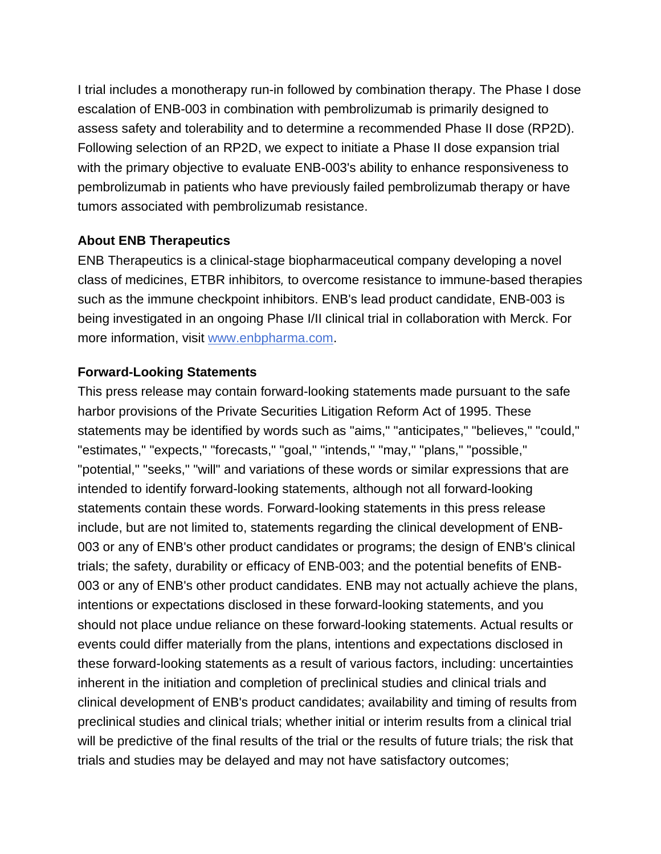I trial includes a monotherapy run-in followed by combination therapy. The Phase I dose escalation of ENB-003 in combination with pembrolizumab is primarily designed to assess safety and tolerability and to determine a recommended Phase II dose (RP2D). Following selection of an RP2D, we expect to initiate a Phase II dose expansion trial with the primary objective to evaluate ENB-003's ability to enhance responsiveness to pembrolizumab in patients who have previously failed pembrolizumab therapy or have tumors associated with pembrolizumab resistance.

#### **About ENB Therapeutics**

ENB Therapeutics is a clinical-stage biopharmaceutical company developing a novel class of medicines, ETBR inhibitors*,* to overcome resistance to immune-based therapies such as the immune checkpoint inhibitors. ENB's lead product candidate, ENB-003 is being investigated in an ongoing Phase I/II clinical trial in collaboration with Merck. For more information, visit [www.enbpharma.com.](https://nam02.safelinks.protection.outlook.com/?url=https%3A%2F%2Fpr.report%2FubqMkyQr&data=04%7C01%7CGMineo%40bioadvance.com%7C6e0b63a72c0540445a8a08d8c72350bf%7C19d93768f78941f29f3e6f8bf4fdab9c%7C1%7C0%7C637478301811256043%7CUnknown%7CTWFpbGZsb3d8eyJWIjoiMC4wLjAwMDAiLCJQIjoiV2luMzIiLCJBTiI6Ik1haWwiLCJXVCI6Mn0%3D%7C1000&sdata=5HGIPRgsaDURrsCnSJno0%2B4bzfMA8OWyz6k0qRhpKmw%3D&reserved=0)

## **Forward-Looking Statements**

This press release may contain forward-looking statements made pursuant to the safe harbor provisions of the Private Securities Litigation Reform Act of 1995. These statements may be identified by words such as "aims," "anticipates," "believes," "could," "estimates," "expects," "forecasts," "goal," "intends," "may," "plans," "possible," "potential," "seeks," "will" and variations of these words or similar expressions that are intended to identify forward-looking statements, although not all forward-looking statements contain these words. Forward-looking statements in this press release include, but are not limited to, statements regarding the clinical development of ENB-003 or any of ENB's other product candidates or programs; the design of ENB's clinical trials; the safety, durability or efficacy of ENB-003; and the potential benefits of ENB-003 or any of ENB's other product candidates. ENB may not actually achieve the plans, intentions or expectations disclosed in these forward-looking statements, and you should not place undue reliance on these forward-looking statements. Actual results or events could differ materially from the plans, intentions and expectations disclosed in these forward-looking statements as a result of various factors, including: uncertainties inherent in the initiation and completion of preclinical studies and clinical trials and clinical development of ENB's product candidates; availability and timing of results from preclinical studies and clinical trials; whether initial or interim results from a clinical trial will be predictive of the final results of the trial or the results of future trials; the risk that trials and studies may be delayed and may not have satisfactory outcomes;